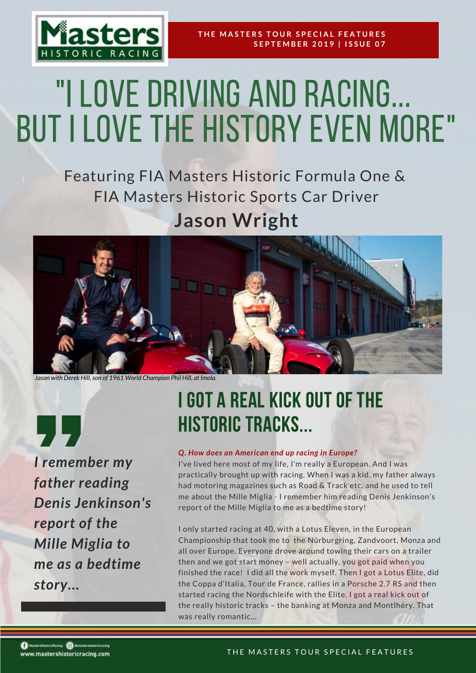

# "I LOVE DRIVING AND RACING... but I love the history even more"

Featuring FIA Masters Historic Formula One & FIA Masters Historic Sports Car Driver **Jason Wright**



*Jason* with Derek Hill, son of 1961 World Champion Phil Hill, at Imola.

**、】** *I remember my father reading Denis Jenkinson's report of the Mille Miglia to me as a bedtime story...*

# I GOT A REAL KICK OUT OF THE HISTORIC TRACKS...

# *Q. How does an American end up racing in Europe?*

I've lived here most of my life, I'm really a European. And I was practically brought up with racing. When I was a kid, my father always had motoring magazines such as Road & Track etc. and he used to tell me about the Mille Miglia - I remember him reading Denis Jenkinson's report of the Mille Miglia to me as a bedtime story!

I only started racing at 40, with a Lotus Eleven, in the European Championship that took me to the Nürburgring, Zandvoort, Monza and all over Europe. Everyone drove around towing their cars on a trailer then and we got start money – well actually, you got paid when you finished the race! I did all the work myself. Then I got a Lotus Elite, did the Coppa d'Italia, Tour de France, rallies in a Porsche 2.7 RS and then started racing the Nordschleife with the Elite. I got a real kick out of the really historic tracks – the banking at Monza and Montlhéry. That was really romantic…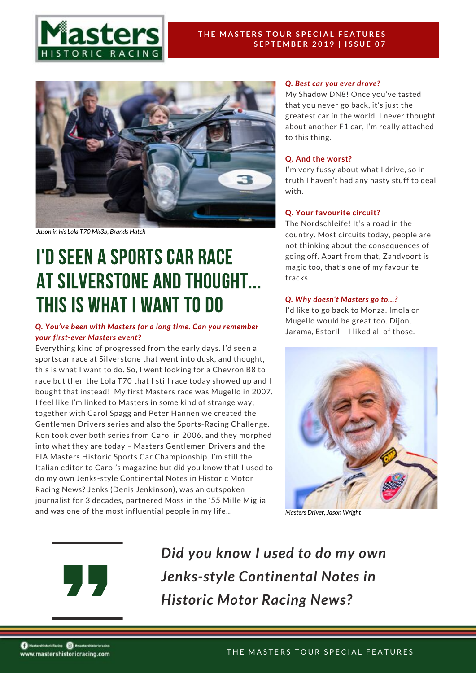



*Jason in his Lola T70 Mk3b, Brands Hatch*

# I'd seen a sports car race at Silverstone and thought... this is what I want to do

# *Q. You've been with Masters for a long time. Can you remember your first-ever Masters event?*

Everything kind of progressed from the early days. I'd seen a sportscar race at Silverstone that went into dusk, and thought, this is what I want to do. So, I went looking for a Chevron B8 to race but then the Lola T70 that I still race today showed up and I bought that instead! My first Masters race was Mugello in 2007. I feel like I'm linked to Masters in some kind of strange way; together with Carol Spagg and Peter Hannen we created the Gentlemen Drivers series and also the Sports-Racing Challenge. Ron took over both series from Carol in 2006, and they morphed into what they are today – Masters Gentlemen Drivers and the FIA Masters Historic Sports Car Championship. I'm still the Italian editor to Carol's magazine but did you know that I used to do my own Jenks-style Continental Notes in Historic Motor Racing News? Jenks (Denis Jenkinson), was an outspoken journalist for 3 decades, partnered Moss in the '55 Mille Miglia and was one of the most influential people in my life…

#### *Q. Best car you ever drove?*

My Shadow DN8! Once you've tasted that you never go back, it's just the greatest car in the world. I never thought about another F1 car, I'm really attached to this thing.

#### **Q. And the worst?**

I'm very fussy about what I drive, so in truth I haven't had any nasty stuff to deal with.

#### **Q. Your favourite circuit?**

The Nordschleife! It's a road in the country. Most circuits today, people are not thinking about the consequences of going off. Apart from that, Zandvoort is magic too, that's one of my favourite tracks.

#### *Q. Why doesn't Masters go to...?*

I'd like to go back to Monza. Imola or Mugello would be great too. Dijon, Jarama, Estoril – I liked all of those.



*Masters Driver, Jason Wright*



*Did you know I used to do my own Jenks-style Continental Notes in Historic Motor Racing News?*